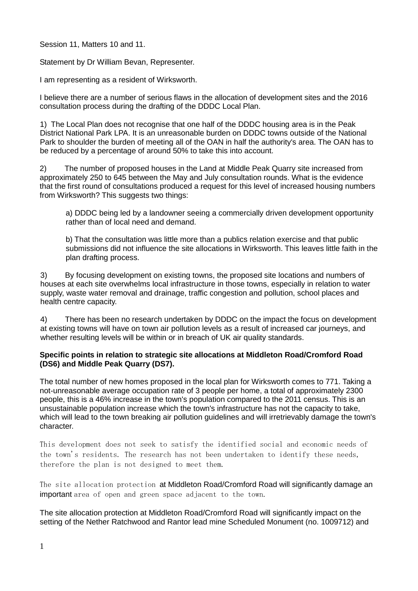Session 11, Matters 10 and 11.

Statement by Dr William Bevan, Representer.

I am representing as a resident of Wirksworth.

I believe there are a number of serious flaws in the allocation of development sites and the 2016 consultation process during the drafting of the DDDC Local Plan.

1) The Local Plan does not recognise that one half of the DDDC housing area is in the Peak District National Park LPA. It is an unreasonable burden on DDDC towns outside of the National Park to shoulder the burden of meeting all of the OAN in half the authority's area. The OAN has to be reduced by a percentage of around 50% to take this into account.

2) The number of proposed houses in the Land at Middle Peak Quarry site increased from approximately 250 to 645 between the May and July consultation rounds. What is the evidence that the first round of consultations produced a request for this level of increased housing numbers from Wirksworth? This suggests two things:

a) DDDC being led by a landowner seeing a commercially driven development opportunity rather than of local need and demand.

b) That the consultation was little more than a publics relation exercise and that public submissions did not influence the site allocations in Wirksworth. This leaves little faith in the plan drafting process.

3) By focusing development on existing towns, the proposed site locations and numbers of houses at each site overwhelms local infrastructure in those towns, especially in relation to water supply, waste water removal and drainage, traffic congestion and pollution, school places and health centre capacity.

4) There has been no research undertaken by DDDC on the impact the focus on development at existing towns will have on town air pollution levels as a result of increased car journeys, and whether resulting levels will be within or in breach of UK air quality standards.

## **Specific points in relation to strategic site allocations at Middleton Road/Cromford Road (DS6) and Middle Peak Quarry (DS7).**

The total number of new homes proposed in the local plan for Wirksworth comes to 771. Taking a not-unreasonable average occupation rate of 3 people per home, a total of approximately 2300 people, this is a 46% increase in the town's population compared to the 2011 census. This is an unsustainable population increase which the town's infrastructure has not the capacity to take, which will lead to the town breaking air pollution guidelines and will irretrievably damage the town's character.

This development does not seek to satisfy the identified social and economic needs of the town's residents. The research has not been undertaken to identify these needs, therefore the plan is not designed to meet them.

The site allocation protection at Middleton Road/Cromford Road will significantly damage an important area of open and green space adjacent to the town.

The site allocation protection at Middleton Road/Cromford Road will significantly impact on the setting of the Nether Ratchwood and Rantor lead mine Scheduled Monument (no. 1009712) and